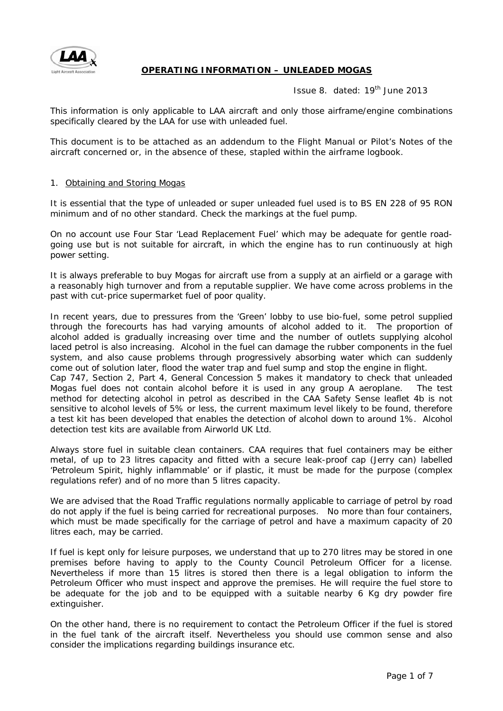

# **OPERATING INFORMATION – UNLEADED MOGAS**

Issue 8. dated: 19<sup>th</sup> June 2013

*This information is only applicable to LAA aircraft and only those airframe/engine combinations specifically cleared by the LAA for use with unleaded fuel.* 

*This document is to be attached as an addendum to the Flight Manual or Pilot's Notes of the aircraft concerned or, in the absence of these, stapled within the airframe logbook.*

### 1. Obtaining and Storing Mogas

It is essential that the type of unleaded or super unleaded fuel used is to BS EN 228 of 95 RON minimum and of no other standard. Check the markings at the fuel pump.

On no account use Four Star 'Lead Replacement Fuel' which may be adequate for gentle roadgoing use but is not suitable for aircraft, in which the engine has to run continuously at high power setting.

It is always preferable to buy Mogas for aircraft use from a supply at an airfield or a garage with a reasonably high turnover and from a reputable supplier. We have come across problems in the past with cut-price supermarket fuel of poor quality.

In recent years, due to pressures from the 'Green' lobby to use bio-fuel, some petrol supplied through the forecourts has had varying amounts of alcohol added to it. The proportion of alcohol added is gradually increasing over time and the number of outlets supplying alcohol laced petrol is also increasing. Alcohol in the fuel can damage the rubber components in the fuel system, and also cause problems through progressively absorbing water which can suddenly come out of solution later, flood the water trap and fuel sump and stop the engine in flight. Cap 747, Section 2, Part 4, General Concession 5 makes it mandatory to check that unleaded Mogas fuel does not contain alcohol before it is used in any group A aeroplane. The test method for detecting alcohol in petrol as described in the CAA Safety Sense leaflet 4b is not sensitive to alcohol levels of 5% or less, the current maximum level likely to be found, therefore a test kit has been developed that enables the detection of alcohol down to around 1%. Alcohol detection test kits are available from Airworld UK Ltd.

Always store fuel in suitable clean containers. CAA requires that fuel containers may be either metal, of up to 23 litres capacity and fitted with a secure leak-proof cap (Jerry can) labelled 'Petroleum Spirit, highly inflammable' or if plastic, it must be made for the purpose (complex regulations refer) and of no more than 5 litres capacity.

We are advised that the Road Traffic regulations normally applicable to carriage of petrol by road do not apply if the fuel is being carried for recreational purposes. No more than four containers, which must be made specifically for the carriage of petrol and have a maximum capacity of 20 litres each, may be carried.

If fuel is kept only for leisure purposes, we understand that up to 270 litres may be stored in one premises before having to apply to the County Council Petroleum Officer for a license. Nevertheless if more than 15 litres is stored then there is a legal obligation to inform the Petroleum Officer who must inspect and approve the premises. He will require the fuel store to be adequate for the job and to be equipped with a suitable nearby 6 Kg dry powder fire extinguisher.

On the other hand, there is no requirement to contact the Petroleum Officer if the fuel is stored in the fuel tank of the aircraft itself. Nevertheless you should use common sense and also consider the implications regarding buildings insurance etc.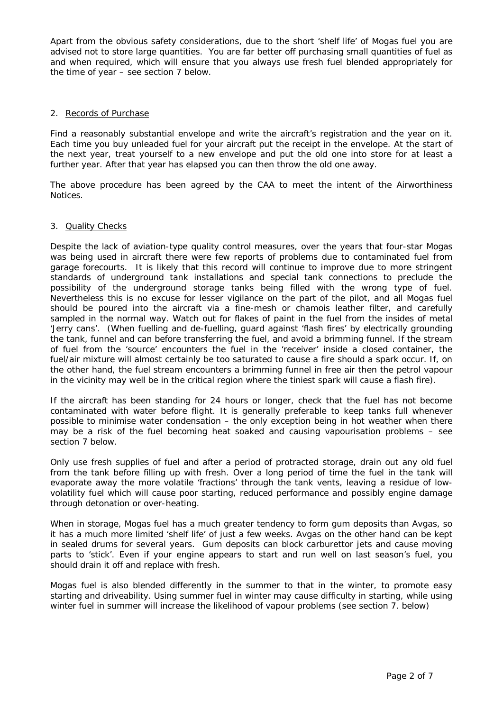Apart from the obvious safety considerations, due to the short 'shelf life' of Mogas fuel you are advised not to store large quantities. You are far better off purchasing small quantities of fuel as and when required, which will ensure that you always use fresh fuel blended appropriately for the time of year – see section 7 below.

### 2. Records of Purchase

Find a reasonably substantial envelope and write the aircraft's registration and the year on it. Each time you buy unleaded fuel for your aircraft put the receipt in the envelope. At the start of the next year, treat yourself to a new envelope and put the old one into store for at least a further year. After that year has elapsed you can then throw the old one away.

The above procedure has been agreed by the CAA to meet the intent of the Airworthiness Notices.

### 3. Quality Checks

Despite the lack of aviation-type quality control measures, over the years that four-star Mogas was being used in aircraft there were few reports of problems due to contaminated fuel from garage forecourts. It is likely that this record will continue to improve due to more stringent standards of underground tank installations and special tank connections to preclude the possibility of the underground storage tanks being filled with the wrong type of fuel. Nevertheless this is no excuse for lesser vigilance on the part of the pilot, and all Mogas fuel should be poured into the aircraft via a fine-mesh or chamois leather filter, and carefully sampled in the normal way. Watch out for flakes of paint in the fuel from the insides of metal 'Jerry cans'. *(When fuelling and de-fuelling, guard against 'flash fires' by electrically grounding the tank, funnel and can before transferring the fuel, and avoid a brimming funnel. If the stream of fuel from the 'source' encounters the fuel in the 'receiver' inside a closed container, the fuel/air mixture will almost certainly be too saturated to cause a fire should a spark occur. If, on the other hand, the fuel stream encounters a brimming funnel in free air then the petrol vapour in the vicinity may well be in the critical region where the tiniest spark will cause a flash fire).* 

If the aircraft has been standing for 24 hours or longer, check that the fuel has not become contaminated with water before flight. It is generally preferable to keep tanks full whenever possible to minimise water condensation – the only exception being in hot weather when there may be a risk of the fuel becoming heat soaked and causing vapourisation problems – see section 7 below.

Only use fresh supplies of fuel and after a period of protracted storage, drain out any old fuel from the tank before filling up with fresh. Over a long period of time the fuel in the tank will evaporate away the more volatile 'fractions' through the tank vents, leaving a residue of lowvolatility fuel which will cause poor starting, reduced performance and possibly engine damage through detonation or over-heating.

When in storage, Mogas fuel has a much greater tendency to form gum deposits than Avgas, so it has a much more limited 'shelf life' of just a few weeks. Avgas on the other hand can be kept in sealed drums for several years. Gum deposits can block carburettor jets and cause moving parts to 'stick'. Even if your engine appears to start and run well on last season's fuel, you should drain it off and replace with fresh.

Mogas fuel is also blended differently in the summer to that in the winter, to promote easy starting and driveability. Using summer fuel in winter may cause difficulty in starting, while using winter fuel in summer will increase the likelihood of vapour problems (see section 7. below)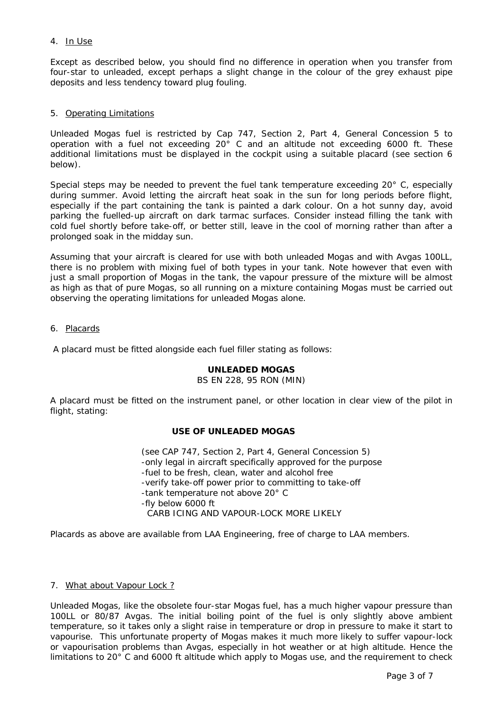# 4. In Use

Except as described below, you should find no difference in operation when you transfer from four-star to unleaded, except perhaps a slight change in the colour of the grey exhaust pipe deposits and less tendency toward plug fouling.

### 5. Operating Limitations

Unleaded Mogas fuel is restricted by Cap 747, Section 2, Part 4, General Concession 5 to operation with a fuel not exceeding 20° C and an altitude not exceeding 6000 ft. These additional limitations must be displayed in the cockpit using a suitable placard (see section 6 below).

Special steps may be needed to prevent the fuel tank temperature exceeding 20° C, especially during summer. Avoid letting the aircraft heat soak in the sun for long periods before flight, especially if the part containing the tank is painted a dark colour. On a hot sunny day, avoid parking the fuelled-up aircraft on dark tarmac surfaces. Consider instead filling the tank with cold fuel shortly before take-off, or better still, leave in the cool of morning rather than after a prolonged soak in the midday sun.

Assuming that your aircraft is cleared for use with both unleaded Mogas and with Avgas 100LL, there is no problem with mixing fuel of both types in your tank. Note however that even with just a small proportion of Mogas in the tank, the vapour pressure of the mixture will be almost as high as that of pure Mogas, so all running on a mixture containing Mogas must be carried out observing the operating limitations for unleaded Mogas alone.

#### 6. Placards

A placard must be fitted alongside each fuel filler stating as follows:

# **UNLEADED MOGAS**

#### BS EN 228, 95 RON (MIN)

A placard must be fitted on the instrument panel, or other location in clear view of the pilot in flight, stating:

# **USE OF UNLEADED MOGAS**

(see CAP 747, Section 2, Part 4, General Concession 5) -only legal in aircraft specifically approved for the purpose -fuel to be fresh, clean, water and alcohol free -verify take-off power prior to committing to take-off -tank temperature not above 20° C -fly below 6000 ft CARB ICING AND VAPOUR-LOCK MORE LIKELY

Placards as above are available from LAA Engineering, free of charge to LAA members.

#### 7. What about Vapour Lock ?

Unleaded Mogas, like the obsolete four-star Mogas fuel, has a much higher vapour pressure than 100LL or 80/87 Avgas. The initial boiling point of the fuel is only slightly above ambient temperature, so it takes only a slight raise in temperature or drop in pressure to make it start to vapourise. This unfortunate property of Mogas makes it much more likely to suffer vapour-lock or vapourisation problems than Avgas, especially in hot weather or at high altitude. Hence the limitations to 20° C and 6000 ft altitude which apply to Mogas use, and the requirement to check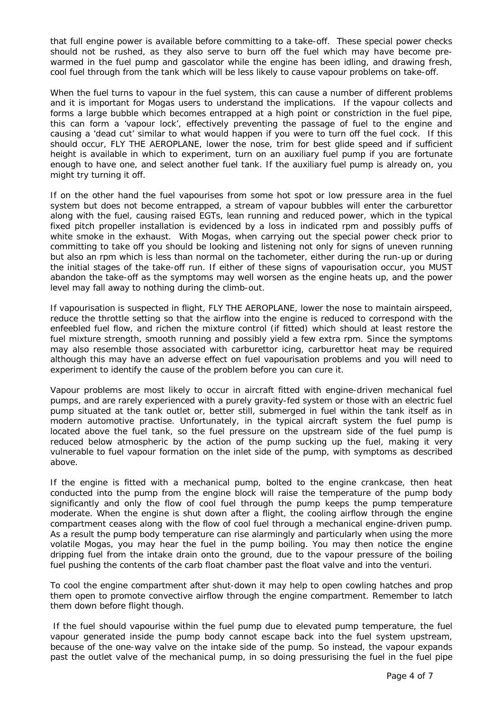that full engine power is available before committing to a take-off. These special power checks should not be rushed, as they also serve to burn off the fuel which may have become prewarmed in the fuel pump and gascolator while the engine has been idling, and drawing fresh, cool fuel through from the tank which will be less likely to cause vapour problems on take-off.

When the fuel turns to vapour in the fuel system, this can cause a number of different problems and it is important for Mogas users to understand the implications. If the vapour collects and forms a large bubble which becomes entrapped at a high point or constriction in the fuel pipe, this can form a 'vapour lock', effectively preventing the passage of fuel to the engine and causing a 'dead cut' similar to what would happen if you were to turn off the fuel cock. If this should occur, FLY THE AEROPLANE, lower the nose, trim for best glide speed and if sufficient height is available in which to experiment, turn on an auxiliary fuel pump if you are fortunate enough to have one, and select another fuel tank. If the auxiliary fuel pump is already on, you might try turning it off.

If on the other hand the fuel vapourises from some hot spot or low pressure area in the fuel system but does not become entrapped, a stream of vapour bubbles will enter the carburettor along with the fuel, causing raised EGTs, lean running and reduced power, which in the typical fixed pitch propeller installation is evidenced by a loss in indicated rpm and possibly puffs of white smoke in the exhaust. With Mogas, when carrying out the special power check prior to committing to take off you should be looking and listening not only for signs of uneven running but also an rpm which is less than normal on the tachometer, either during the run-up or during the initial stages of the take-off run. If either of these signs of vapourisation occur, you MUST abandon the take-off as the symptoms may well worsen as the engine heats up, and the power level may fall away to nothing during the climb-out.

If vapourisation is suspected in flight, FLY THE AEROPLANE, lower the nose to maintain airspeed, reduce the throttle setting so that the airflow into the engine is reduced to correspond with the enfeebled fuel flow, and richen the mixture control (if fitted) which should at least restore the fuel mixture strength, smooth running and possibly yield a few extra rpm. Since the symptoms may also resemble those associated with carburettor icing, carburettor heat may be required although this may have an adverse effect on fuel vapourisation problems and you will need to experiment to identify the cause of the problem before you can cure it.

Vapour problems are most likely to occur in aircraft fitted with engine-driven mechanical fuel pumps, and are rarely experienced with a purely gravity-fed system or those with an electric fuel pump situated at the tank outlet or, better still, submerged in fuel within the tank itself as in modern automotive practise. Unfortunately, in the typical aircraft system the fuel pump is located above the fuel tank, so the fuel pressure on the upstream side of the fuel pump is reduced below atmospheric by the action of the pump sucking up the fuel, making it very vulnerable to fuel vapour formation on the inlet side of the pump, with symptoms as described above.

If the engine is fitted with a mechanical pump, bolted to the engine crankcase, then heat conducted into the pump from the engine block will raise the temperature of the pump body significantly and only the flow of cool fuel through the pump keeps the pump temperature moderate. When the engine is shut down after a flight, the cooling airflow through the engine compartment ceases along with the flow of cool fuel through a mechanical engine-driven pump. As a result the pump body temperature can rise alarmingly and particularly when using the more volatile Mogas, you may hear the fuel in the pump boiling. You may then notice the engine dripping fuel from the intake drain onto the ground, due to the vapour pressure of the boiling fuel pushing the contents of the carb float chamber past the float valve and into the venturi.

To cool the engine compartment after shut-down it may help to open cowling hatches and prop them open to promote convective airflow through the engine compartment. Remember to latch them down before flight though.

If the fuel should vapourise within the fuel pump due to elevated pump temperature, the fuel vapour generated inside the pump body cannot escape back into the fuel system upstream, because of the one-way valve on the intake side of the pump. So instead, the vapour expands past the outlet valve of the mechanical pump, in so doing pressurising the fuel in the fuel pipe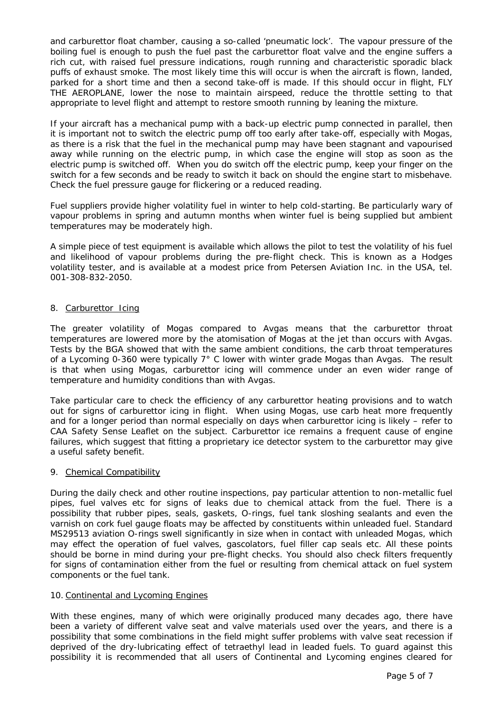and carburettor float chamber, causing a so-called 'pneumatic lock'. The vapour pressure of the boiling fuel is enough to push the fuel past the carburettor float valve and the engine suffers a rich cut, with raised fuel pressure indications, rough running and characteristic sporadic black puffs of exhaust smoke. The most likely time this will occur is when the aircraft is flown, landed, parked for a short time and then a second take-off is made. If this should occur in flight, FLY THE AEROPLANE, lower the nose to maintain airspeed, reduce the throttle setting to that appropriate to level flight and attempt to restore smooth running by leaning the mixture.

If your aircraft has a mechanical pump with a back-up electric pump connected in parallel, then it is important not to switch the electric pump off too early after take-off, especially with Mogas, as there is a risk that the fuel in the mechanical pump may have been stagnant and vapourised away while running on the electric pump, in which case the engine will stop as soon as the electric pump is switched off. When you do switch off the electric pump, keep your finger on the switch for a few seconds and be ready to switch it back on should the engine start to misbehave. Check the fuel pressure gauge for flickering or a reduced reading.

Fuel suppliers provide higher volatility fuel in winter to help cold-starting. Be particularly wary of vapour problems in spring and autumn months when winter fuel is being supplied but ambient temperatures may be moderately high.

A simple piece of test equipment is available which allows the pilot to test the volatility of his fuel and likelihood of vapour problems during the pre-flight check. This is known as a Hodges volatility tester, and is available at a modest price from Petersen Aviation Inc. in the USA, tel. 001-308-832-2050.

# 8. Carburettor Icing

The greater volatility of Mogas compared to Avgas means that the carburettor throat temperatures are lowered more by the atomisation of Mogas at the jet than occurs with Avgas. Tests by the BGA showed that with the same ambient conditions, the carb throat temperatures of a Lycoming 0-360 were typically 7° C lower with winter grade Mogas than Avgas. The result is that when using Mogas, carburettor icing will commence under an even wider range of temperature and humidity conditions than with Avgas.

Take particular care to check the efficiency of any carburettor heating provisions and to watch out for signs of carburettor icing in flight. When using Mogas, use carb heat more frequently and for a longer period than normal especially on days when carburettor icing is likely – refer to CAA Safety Sense Leaflet on the subject. Carburettor ice remains a frequent cause of engine failures, which suggest that fitting a proprietary ice detector system to the carburettor may give a useful safety benefit.

# 9. Chemical Compatibility

During the daily check and other routine inspections, pay particular attention to non-metallic fuel pipes, fuel valves etc for signs of leaks due to chemical attack from the fuel. There is a possibility that rubber pipes, seals, gaskets, O-rings, fuel tank sloshing sealants and even the varnish on cork fuel gauge floats may be affected by constituents within unleaded fuel. Standard MS29513 aviation O-rings swell significantly in size when in contact with unleaded Mogas, which may effect the operation of fuel valves, gascolators, fuel filler cap seals etc. All these points should be borne in mind during your pre-flight checks. You should also check filters frequently for signs of contamination either from the fuel or resulting from chemical attack on fuel system components or the fuel tank.

# 10. Continental and Lycoming Engines

With these engines, many of which were originally produced many decades ago, there have been a variety of different valve seat and valve materials used over the years, and there is a possibility that some combinations in the field might suffer problems with valve seat recession if deprived of the dry-lubricating effect of tetraethyl lead in leaded fuels. To guard against this possibility it is recommended that all users of Continental and Lycoming engines cleared for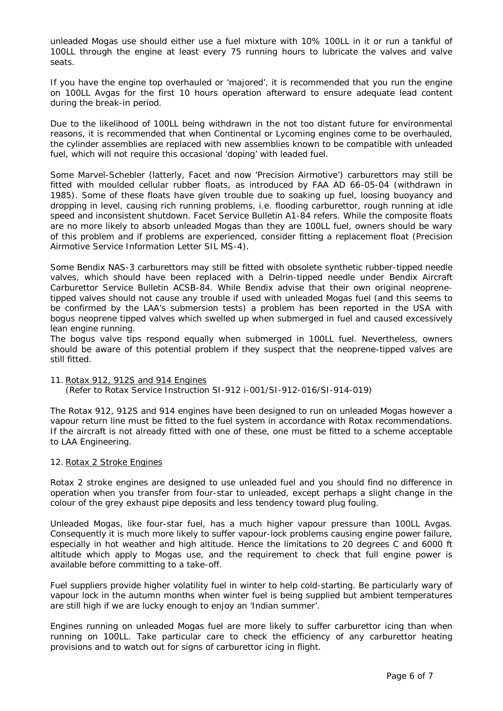unleaded Mogas use should either use a fuel mixture with 10% 100LL in it or run a tankful of 100LL through the engine at least every 75 running hours to lubricate the valves and valve seats.

If you have the engine top overhauled or 'majored', it is recommended that you run the engine on 100LL Avgas for the first 10 hours operation afterward to ensure adequate lead content during the break-in period.

Due to the likelihood of 100LL being withdrawn in the not too distant future for environmental reasons, it is recommended that when Continental or Lycoming engines come to be overhauled, the cylinder assemblies are replaced with new assemblies known to be compatible with unleaded fuel, which will not require this occasional 'doping' with leaded fuel.

Some Marvel-Schebler (latterly, Facet and now 'Precision Airmotive') carburettors may still be fitted with moulded cellular rubber floats, as introduced by FAA AD 66-05-04 (withdrawn in 1985). Some of these floats have given trouble due to soaking up fuel, loosing buoyancy and dropping in level, causing rich running problems, i.e. flooding carburettor, rough running at idle speed and inconsistent shutdown. Facet Service Bulletin A1-84 refers. While the composite floats are no more likely to absorb unleaded Mogas than they are 100LL fuel, owners should be wary of this problem and if problems are experienced, consider fitting a replacement float (Precision Airmotive Service Information Letter SIL MS-4).

Some Bendix NAS-3 carburettors may still be fitted with obsolete synthetic rubber-tipped needle valves, which should have been replaced with a Delrin-tipped needle under Bendix Aircraft Carburettor Service Bulletin ACSB-84. While Bendix advise that their own original neoprenetipped valves should not cause any trouble if used with unleaded Mogas fuel (and this seems to be confirmed by the LAA's submersion tests) a problem has been reported in the USA with bogus neoprene tipped valves which swelled up when submerged in fuel and caused excessively lean engine running.

The bogus valve tips respond equally when submerged in 100LL fuel. Nevertheless, owners should be aware of this potential problem if they suspect that the neoprene-tipped valves are still fitted.

# 11. Rotax 912, 912S and 914 Engines

(Refer to Rotax Service Instruction SI-912 i-001/SI-912-016/SI-914-019)

The Rotax 912, 912S and 914 engines have been designed to run on unleaded Mogas however a vapour return line must be fitted to the fuel system in accordance with Rotax recommendations. If the aircraft is not already fitted with one of these, one must be fitted to a scheme acceptable to LAA Engineering.

#### 12. Rotax 2 Stroke Engines

Rotax 2 stroke engines are designed to use unleaded fuel and you should find no difference in operation when you transfer from four-star to unleaded, except perhaps a slight change in the colour of the grey exhaust pipe deposits and less tendency toward plug fouling.

Unleaded Mogas, like four-star fuel, has a much higher vapour pressure than 100LL Avgas. Consequently it is much more likely to suffer vapour-lock problems causing engine power failure, especially in hot weather and high altitude. Hence the limitations to 20 degrees C and 6000 ft altitude which apply to Mogas use, and the requirement to check that full engine power is available before committing to a take-off.

Fuel suppliers provide higher volatility fuel in winter to help cold-starting. Be particularly wary of vapour lock in the autumn months when winter fuel is being supplied but ambient temperatures are still high if we are lucky enough to enjoy an 'Indian summer'.

Engines running on unleaded Mogas fuel are more likely to suffer carburettor icing than when running on 100LL. Take particular care to check the efficiency of any carburettor heating provisions and to watch out for signs of carburettor icing in flight.